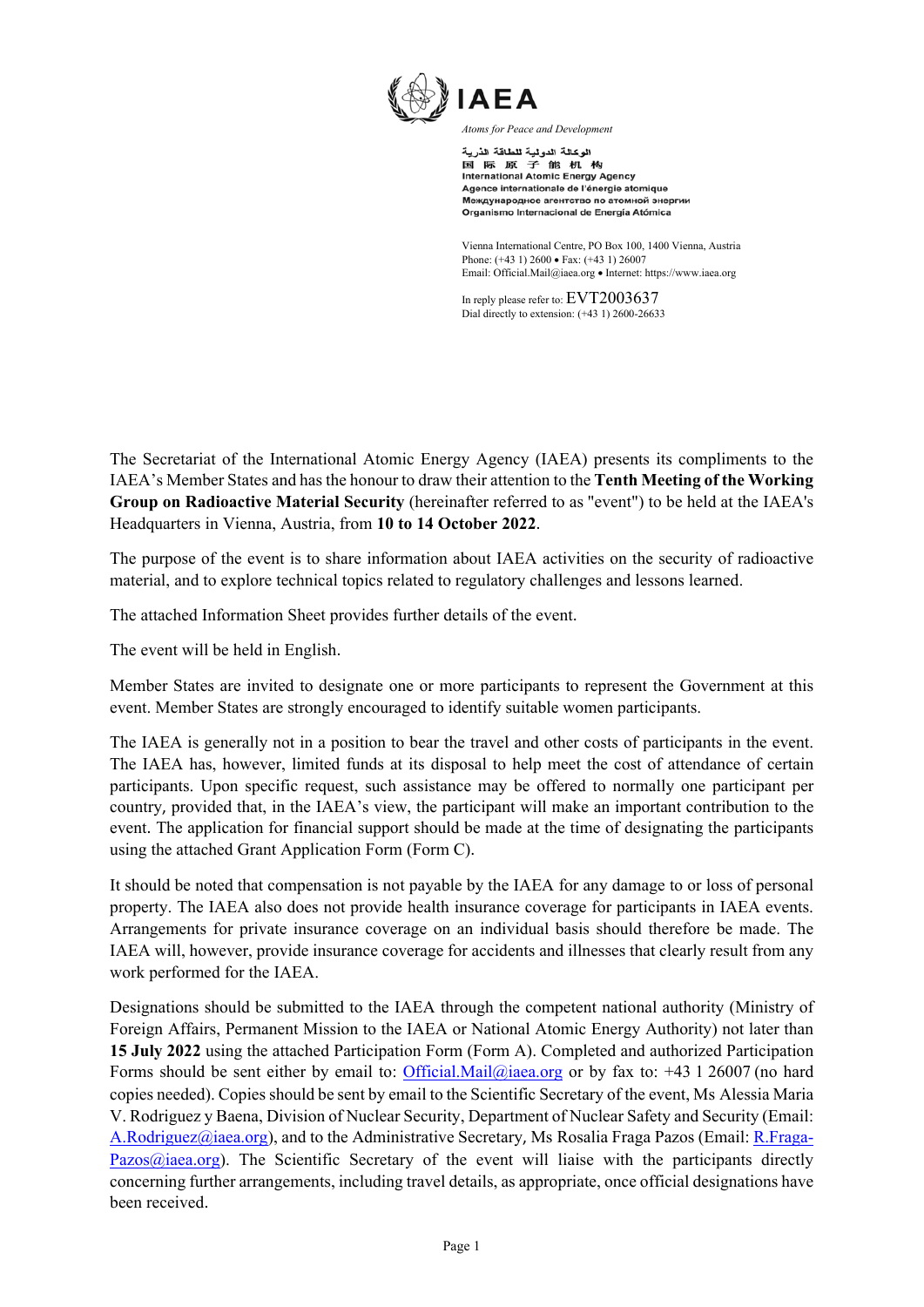

الوكالة الدولية للطاقة الذرية 国际原子能机构 International Atomic Energy Agency Agence internationale de l'énergie atomique Международное агентство по атомной энергии Organismo Internacional de Energía Atómica

Vienna International Centre, PO Box 100, 1400 Vienna, Austria Phone: (+43 1) 2600 • Fax: (+43 1) 26007 Email: Official.Mail@iaea.org · Internet: https://www.iaea.org

In reply please refer to: EVT2003637 Dial directly to extension: (+43 1) 2600-26633

The Secretariat of the International Atomic Energy Agency (IAEA) presents its compliments to the IAEA's Member States and has the honour to draw their attention to the **Tenth Meeting of the Working Group on Radioactive Material Security** (hereinafter referred to as "event") to be held at the IAEA's Headquarters in Vienna, Austria, from **10 to 14 October 2022**.

The purpose of the event is to share information about IAEA activities on the security of radioactive material, and to explore technical topics related to regulatory challenges and lessons learned.

The attached Information Sheet provides further details of the event.

The event will be held in English.

Member States are invited to designate one or more participants to represent the Government at this event. Member States are strongly encouraged to identify suitable women participants.

The IAEA is generally not in a position to bear the travel and other costs of participants in the event. The IAEA has, however, limited funds at its disposal to help meet the cost of attendance of certain participants. Upon specific request, such assistance may be offered to normally one participant per country, provided that, in the IAEA's view, the participant will make an important contribution to the event. The application for financial support should be made at the time of designating the participants using the attached Grant Application Form (Form C).

It should be noted that compensation is not payable by the IAEA for any damage to or loss of personal property. The IAEA also does not provide health insurance coverage for participants in IAEA events. Arrangements for private insurance coverage on an individual basis should therefore be made. The IAEA will, however, provide insurance coverage for accidents and illnesses that clearly result from any work performed for the IAEA.

Designations should be submitted to the IAEA through the competent national authority (Ministry of Foreign Affairs, Permanent Mission to the IAEA or National Atomic Energy Authority) not later than **15 July 2022** using the attached Participation Form (Form A). Completed and authorized Participation Forms should be sent either by email to: Official.Mail@iaea.org or by fax to: +43 1 26007 (no hard copies needed). Copies should be sent by email to the Scientific Secretary of the event, Ms Alessia Maria V. Rodriguez y Baena, Division of Nuclear Security, Department of Nuclear Safety and Security (Email: A.Rodriguez@iaea.org), and to the Administrative Secretary, Ms Rosalia Fraga Pazos (Email: R.Fraga-Pazos $\omega$ iaea.org). The Scientific Secretary of the event will liaise with the participants directly concerning further arrangements, including travel details, as appropriate, once official designations have been received.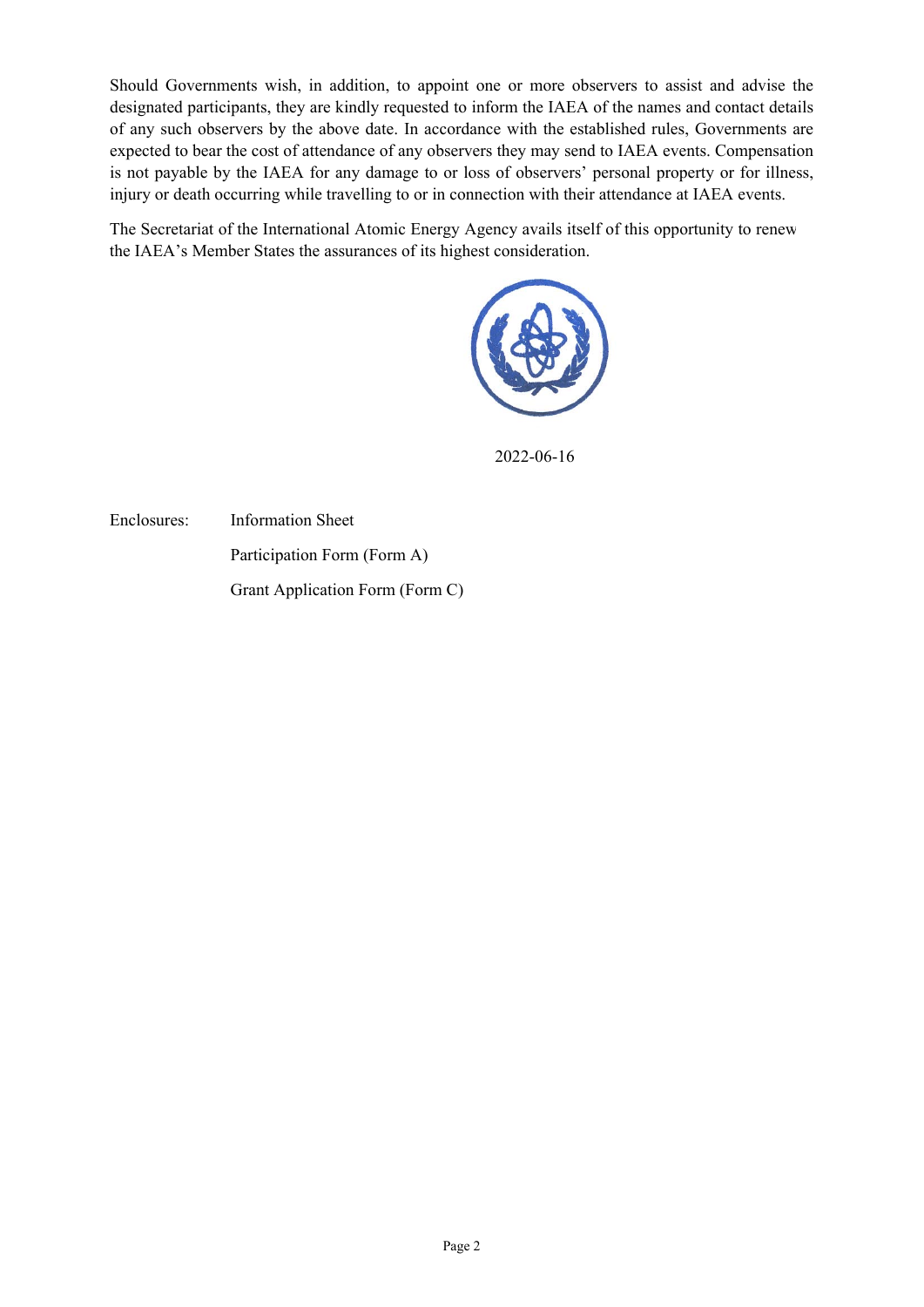Should Governments wish, in addition, to appoint one or more observers to assist and advise the designated participants, they are kindly requested to inform the IAEA of the names and contact details of any such observers by the above date. In accordance with the established rules, Governments are expected to bear the cost of attendance of any observers they may send to IAEA events. Compensation is not payable by the IAEA for any damage to or loss of observers' personal property or for illness, injury or death occurring while travelling to or in connection with their attendance at IAEA events.

The Secretariat of the International Atomic Energy Agency avails itself of this opportunity to renew the IAEA's Member States the assurances of its highest consideration.



2022-06-16

Enclosures: Information Sheet Participation Form (Form A)

Grant Application Form (Form C)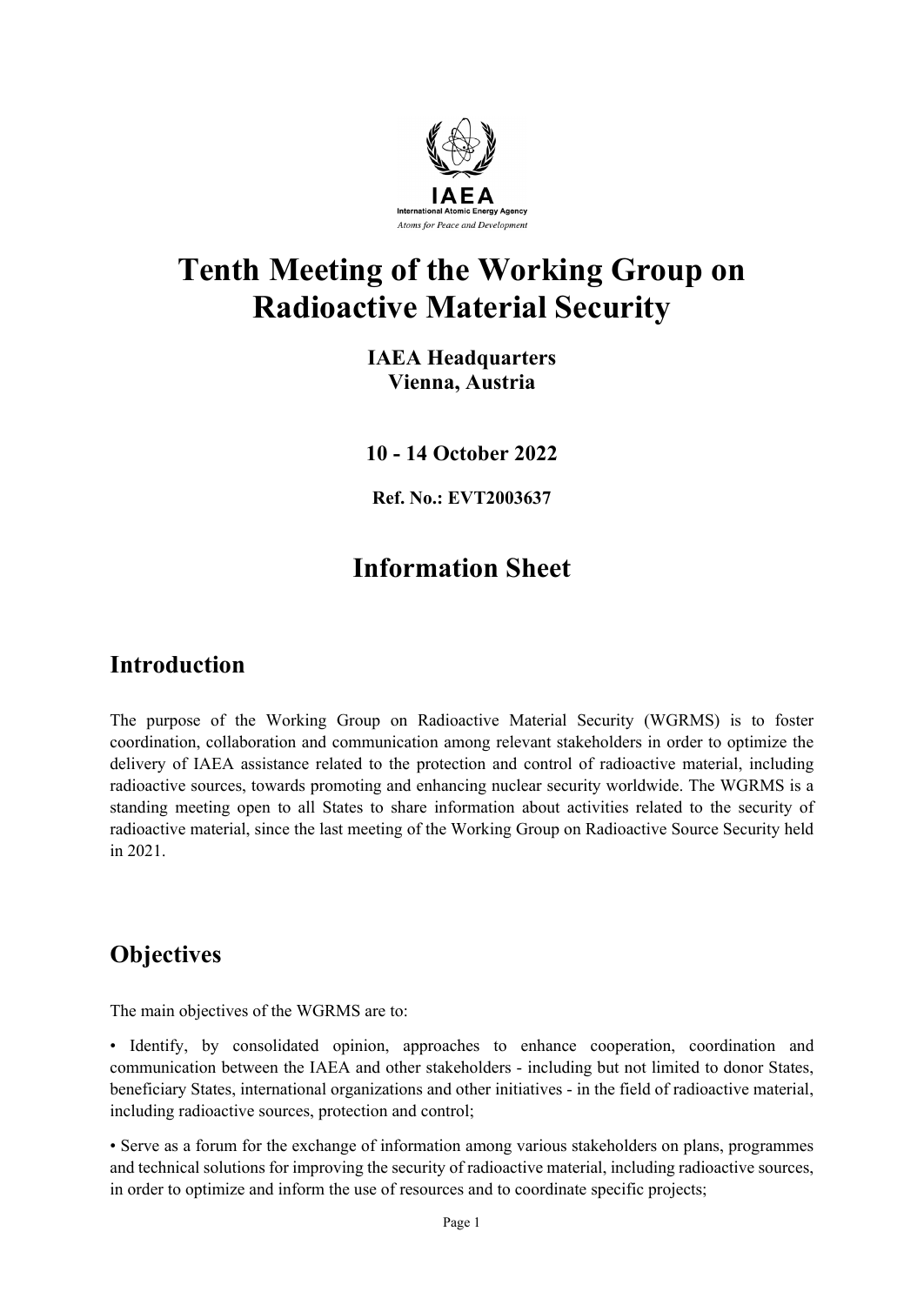

# **Tenth Meeting of the Working Group on Radioactive Material Security**

**IAEA Headquarters Vienna, Austria**

**10 - 14 October 2022**

**Ref. No.: EVT2003637**

# **Information Sheet**

# **Introduction**

The purpose of the Working Group on Radioactive Material Security (WGRMS) is to foster coordination, collaboration and communication among relevant stakeholders in order to optimize the delivery of IAEA assistance related to the protection and control of radioactive material, including radioactive sources, towards promoting and enhancing nuclear security worldwide. The WGRMS is a standing meeting open to all States to share information about activities related to the security of radioactive material, since the last meeting of the Working Group on Radioactive Source Security held in 2021.

# **Objectives**

The main objectives of the WGRMS are to:

• Identify, by consolidated opinion, approaches to enhance cooperation, coordination and communication between the IAEA and other stakeholders - including but not limited to donor States, beneficiary States, international organizations and other initiatives - in the field of radioactive material, including radioactive sources, protection and control;

• Serve as a forum for the exchange of information among various stakeholders on plans, programmes and technical solutions for improving the security of radioactive material, including radioactive sources, in order to optimize and inform the use of resources and to coordinate specific projects;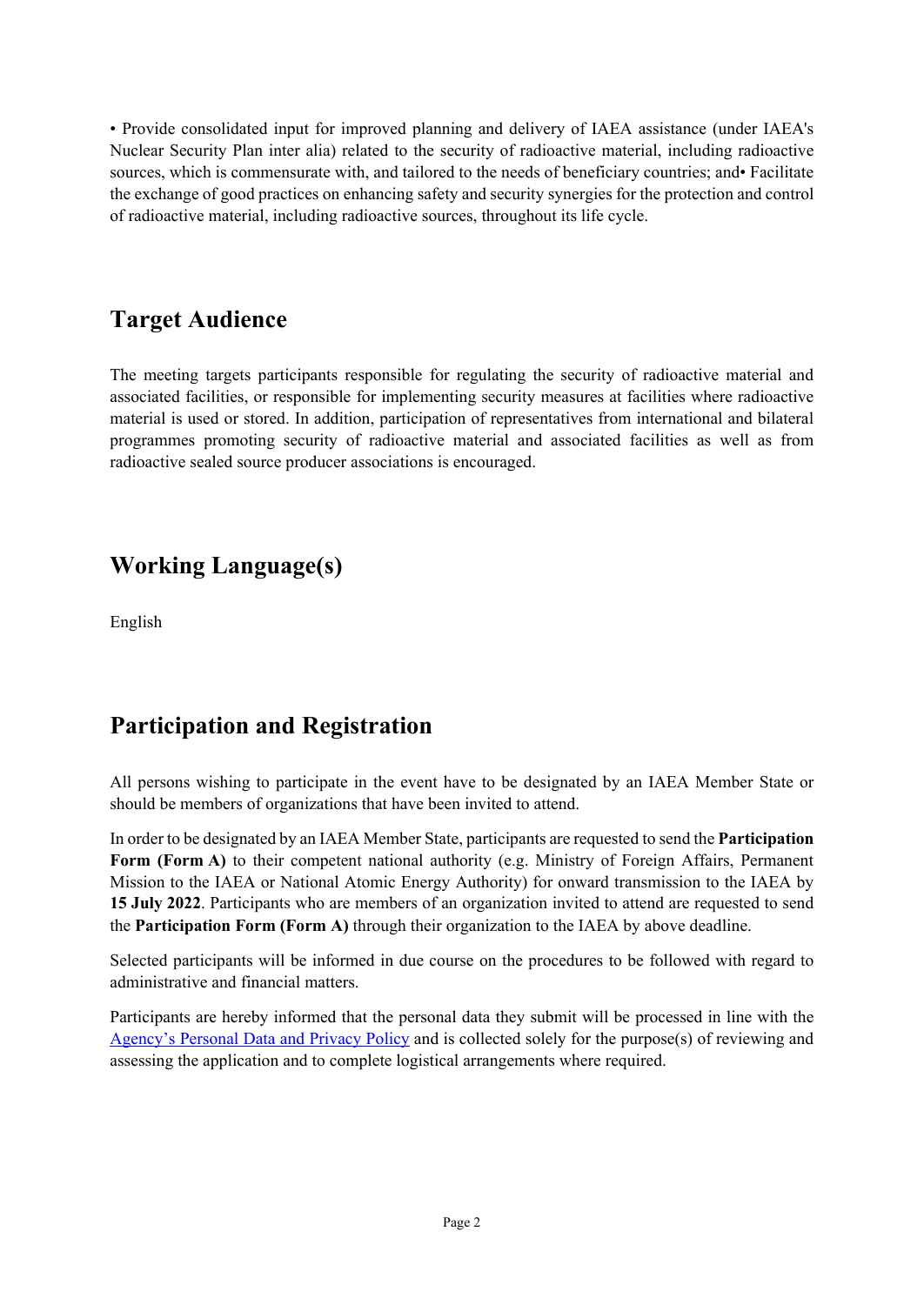• Provide consolidated input for improved planning and delivery of IAEA assistance (under IAEA's Nuclear Security Plan inter alia) related to the security of radioactive material, including radioactive sources, which is commensurate with, and tailored to the needs of beneficiary countries; and• Facilitate the exchange of good practices on enhancing safety and security synergies for the protection and control of radioactive material, including radioactive sources, throughout its life cycle.

# **Target Audience**

The meeting targets participants responsible for regulating the security of radioactive material and associated facilities, or responsible for implementing security measures at facilities where radioactive material is used or stored. In addition, participation of representatives from international and bilateral programmes promoting security of radioactive material and associated facilities as well as from radioactive sealed source producer associations is encouraged.

# **Working Language(s)**

English

# **Participation and Registration**

All persons wishing to participate in the event have to be designated by an IAEA Member State or should be members of organizations that have been invited to attend.

In order to be designated by an IAEA Member State, participants are requested to send the **Participation Form (Form A)** to their competent national authority (e.g. Ministry of Foreign Affairs, Permanent Mission to the IAEA or National Atomic Energy Authority) for onward transmission to the IAEA by **15 July 2022**. Participants who are members of an organization invited to attend are requested to send the **Participation Form (Form A)** through their organization to the IAEA by above deadline.

Selected participants will be informed in due course on the procedures to be followed with regard to administrative and financial matters.

Participants are hereby informed that the personal data they submit will be processed in line with the [Agency's Personal Data and Privacy Policy](https://www.iaea.org/about/privacy-policy) and is collected solely for the purpose(s) of reviewing and assessing the application and to complete logistical arrangements where required.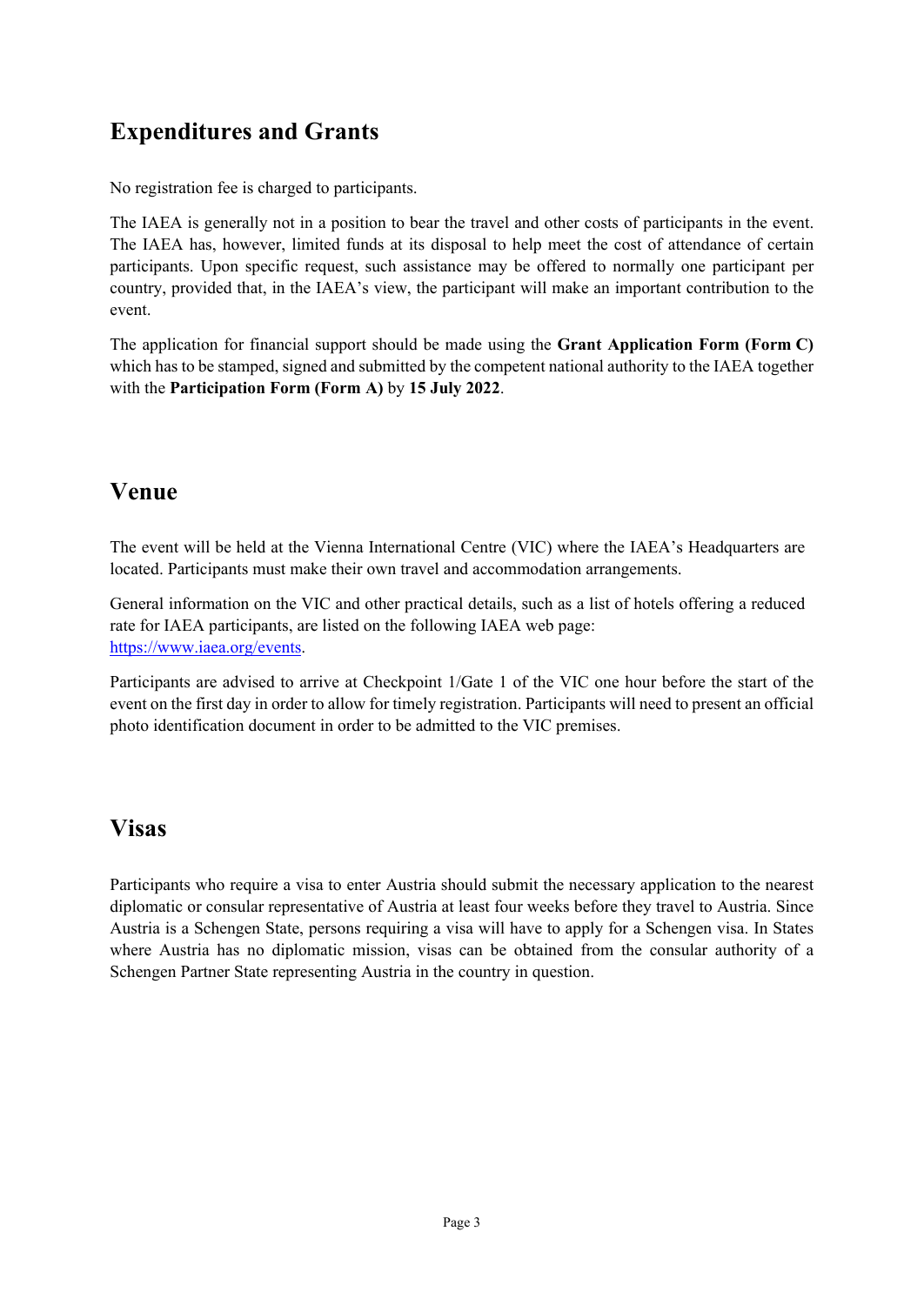# **Expenditures and Grants**

No registration fee is charged to participants.

The IAEA is generally not in a position to bear the travel and other costs of participants in the event. The IAEA has, however, limited funds at its disposal to help meet the cost of attendance of certain participants. Upon specific request, such assistance may be offered to normally one participant per country, provided that, in the IAEA's view, the participant will make an important contribution to the event.

The application for financial support should be made using the **Grant Application Form (Form C)** which has to be stamped, signed and submitted by the competent national authority to the IAEA together with the **Participation Form (Form A)** by **15 July 2022**.

# **Venue**

The event will be held at the Vienna International Centre (VIC) where the IAEA's Headquarters are located. Participants must make their own travel and accommodation arrangements.

General information on the VIC and other practical details, such as a list of hotels offering a reduced rate for IAEA participants, are listed on the following IAEA web page: [https://www.iaea.org/events.](https://www.iaea.org/events)

Participants are advised to arrive at Checkpoint 1/Gate 1 of the VIC one hour before the start of the event on the first day in order to allow for timely registration. Participants will need to present an official photo identification document in order to be admitted to the VIC premises.

## **Visas**

Participants who require a visa to enter Austria should submit the necessary application to the nearest diplomatic or consular representative of Austria at least four weeks before they travel to Austria. Since Austria is a Schengen State, persons requiring a visa will have to apply for a Schengen visa. In States where Austria has no diplomatic mission, visas can be obtained from the consular authority of a Schengen Partner State representing Austria in the country in question.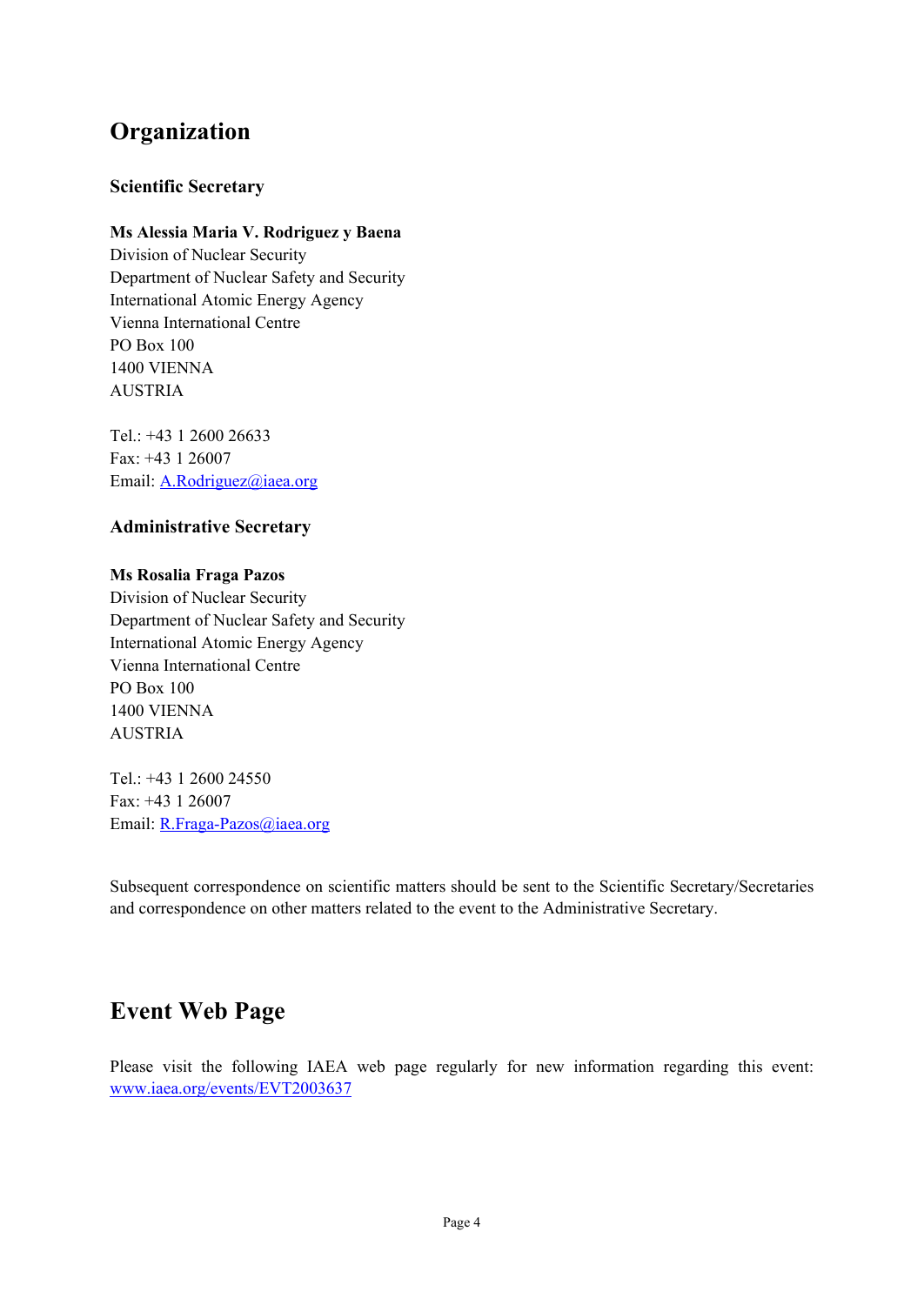# **Organization**

### **Scientific Secretary**

### **Ms Alessia Maria V. Rodriguez y Baena**

Division of Nuclear Security Department of Nuclear Safety and Security International Atomic Energy Agency Vienna International Centre PO Box 100 1400 VIENNA AUSTRIA

Tel.: +43 1 2600 26633 Fax: +43 1 26007 Email: A.Rodriguez@iaea.org

### **Administrative Secretary**

### **Ms Rosalia Fraga Pazos**

Division of Nuclear Security Department of Nuclear Safety and Security International Atomic Energy Agency Vienna International Centre PO Box 100 1400 VIENNA AUSTRIA

Tel.: +43 1 2600 24550 Fax: +43 1 26007 Email: R.Fraga-Pazos@iaea.org

Subsequent correspondence on scientific matters should be sent to the Scientific Secretary/Secretaries and correspondence on other matters related to the event to the Administrative Secretary.

## **Event Web Page**

Please visit the following IAEA web page regularly for new information regarding this event: www.iaea.org/events/EVT2003637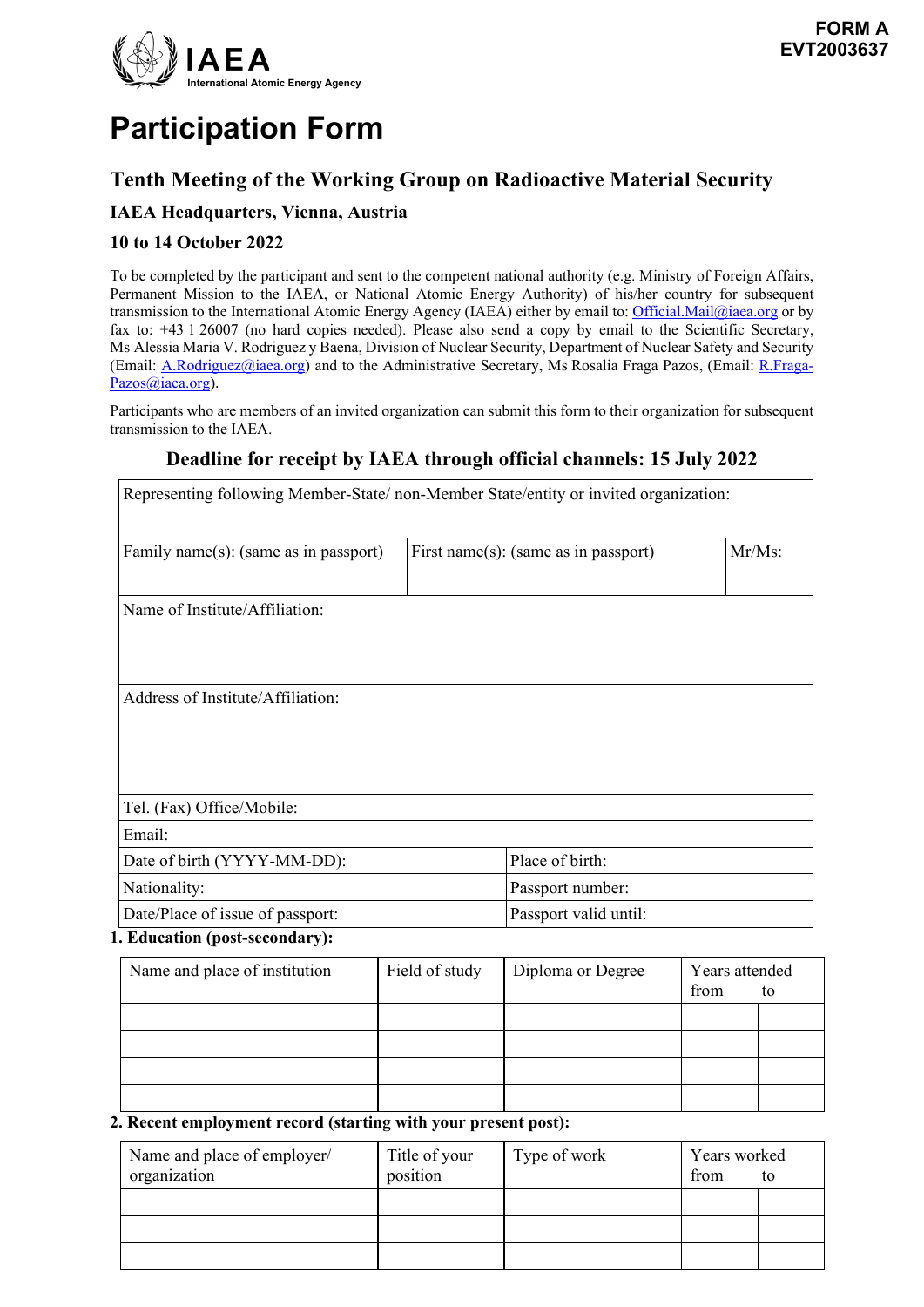

# **Participation Form**

### **Tenth Meeting of the Working Group on Radioactive Material Security**

### **IAEA Headquarters, Vienna, Austria**

### **10 to 14 October 2022**

To be completed by the participant and sent to the competent national authority (e.g. Ministry of Foreign Affairs, Permanent Mission to the IAEA, or National Atomic Energy Authority) of his/her country for subsequent transmission to the International Atomic Energy Agency (IAEA) either by email to[: Official.Mail@iaea.org](mailto:official.mail@iaea.org) or by fax to: +43 1 26007 (no hard copies needed). Please also send a copy by email to the Scientific Secretary, Ms Alessia Maria V. Rodriguez y Baena, Division of Nuclear Security, Department of Nuclear Safety and Security (Email: A.Rodriguez@iaea.org) and to the Administrative Secretary, Ms Rosalia Fraga Pazos, (Email: R.Fraga-Pazos@iaea.org).

Participants who are members of an invited organization can submit this form to their organization for subsequent transmission to the IAEA.

### **Deadline for receipt by IAEA through official channels: 15 July 2022**

| Representing following Member-State/ non-Member State/entity or invited organization: |                           |                                      |                               |  |
|---------------------------------------------------------------------------------------|---------------------------|--------------------------------------|-------------------------------|--|
| Family name(s): (same as in passport)                                                 |                           | First name(s): (same as in passport) |                               |  |
| Name of Institute/Affiliation:                                                        |                           |                                      |                               |  |
| Address of Institute/Affiliation:                                                     |                           |                                      |                               |  |
| Tel. (Fax) Office/Mobile:<br>Email:                                                   |                           |                                      |                               |  |
| Date of birth (YYYY-MM-DD):                                                           |                           | Place of birth:                      |                               |  |
| Nationality:                                                                          |                           | Passport number:                     |                               |  |
| Date/Place of issue of passport:                                                      |                           | Passport valid until:                |                               |  |
| 1. Education (post-secondary):                                                        |                           |                                      |                               |  |
| Name and place of institution                                                         | Field of study            | Diploma or Degree                    | Years attended<br>from<br>to  |  |
|                                                                                       |                           |                                      |                               |  |
|                                                                                       |                           |                                      |                               |  |
|                                                                                       |                           |                                      |                               |  |
| 2. Recent employment record (starting with your present post):                        |                           |                                      |                               |  |
| Name and place of employer/<br>organization                                           | Title of your<br>nosition | Type of work                         | Years worked<br>from<br>$t_0$ |  |

| Name and place of employer/ | <b>l</b> itle of your | I ype of work | Years worked |    |
|-----------------------------|-----------------------|---------------|--------------|----|
| organization                | position              |               | trom         | to |
|                             |                       |               |              |    |
|                             |                       |               |              |    |
|                             |                       |               |              |    |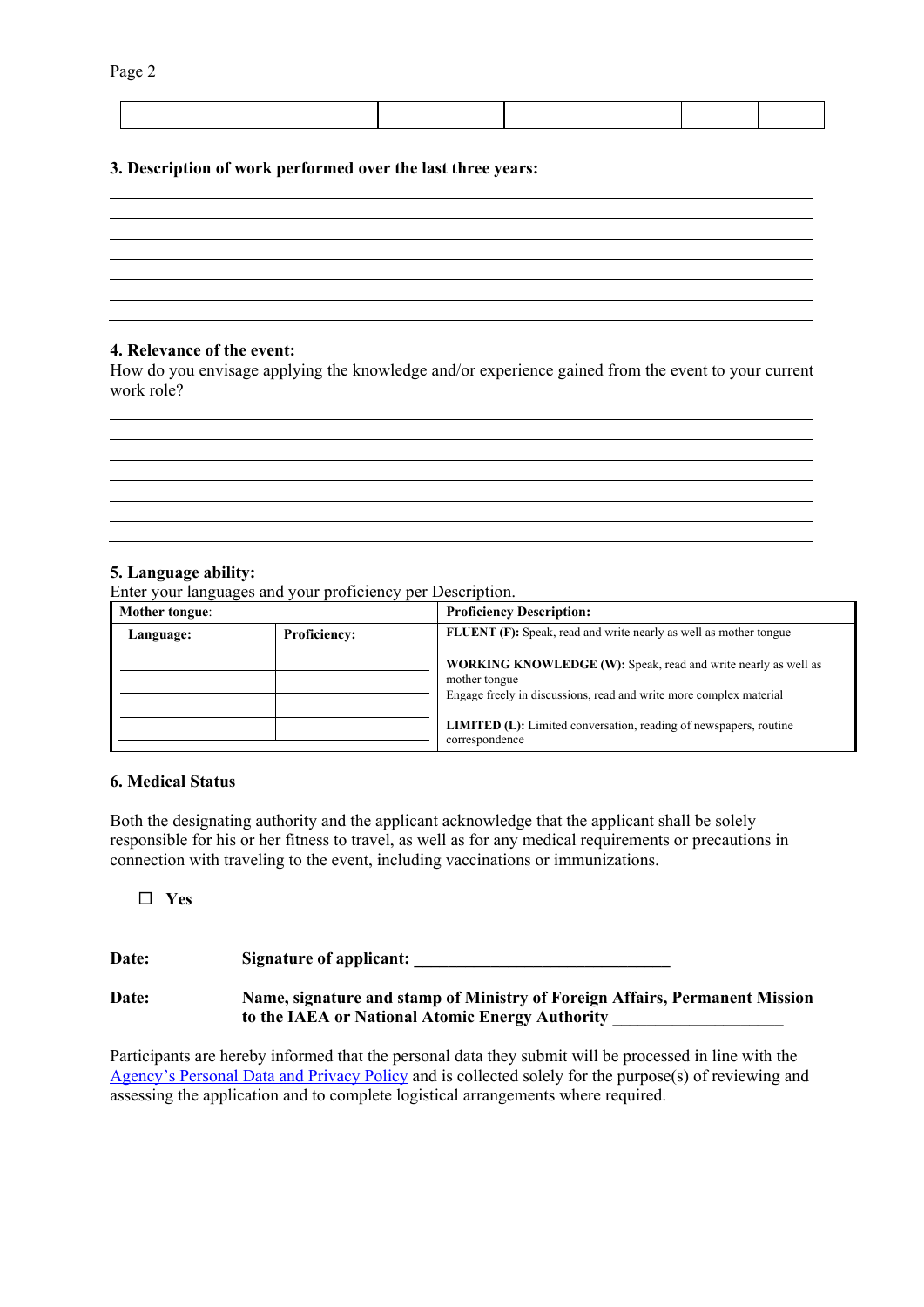#### **3. Description of work performed over the last three years:**

#### **4. Relevance of the event:**

How do you envisage applying the knowledge and/or experience gained from the event to your current work role?

<u> 1989 - Johann Stoff, amerikansk politiker (\* 1908)</u> <u> 1989 - Johann Stoff, amerikansk politiker (\* 1908)</u>

#### **5. Language ability:**

Enter your languages and your proficiency per Description.

| Mother tongue:                   |  | <b>Proficiency Description:</b>                                                                                                                       |
|----------------------------------|--|-------------------------------------------------------------------------------------------------------------------------------------------------------|
| <b>Proficiency:</b><br>Language: |  | <b>FLUENT</b> (F): Speak, read and write nearly as well as mother tongue                                                                              |
|                                  |  | WORKING KNOWLEDGE (W): Speak, read and write nearly as well as<br>mother tongue<br>Engage freely in discussions, read and write more complex material |
|                                  |  | <b>LIMITED</b> (L): Limited conversation, reading of newspapers, routine<br>correspondence                                                            |

#### **6. Medical Status**

Both the designating authority and the applicant acknowledge that the applicant shall be solely responsible for his or her fitness to travel, as well as for any medical requirements or precautions in connection with traveling to the event, including vaccinations or immunizations.

**Yes**

| Date: | Signature of applicant:                                                                                                        |
|-------|--------------------------------------------------------------------------------------------------------------------------------|
| Date: | Name, signature and stamp of Ministry of Foreign Affairs, Permanent Mission<br>to the IAEA or National Atomic Energy Authority |

Participants are hereby informed that the personal data they submit will be processed in line with the [Agency's Personal Data and Privacy Policy](https://www.iaea.org/about/privacy-policy#:%7E:text=The%20IAEA%20is%20committed%20to,accountable%20and%20non%2Ddiscriminatory%20manner.&text=The%20Privacy%20Policy%20provides%20the,carrying%20out%20its%20mandated%20activities.) and is collected solely for the purpose(s) of reviewing and assessing the application and to complete logistical arrangements where required.